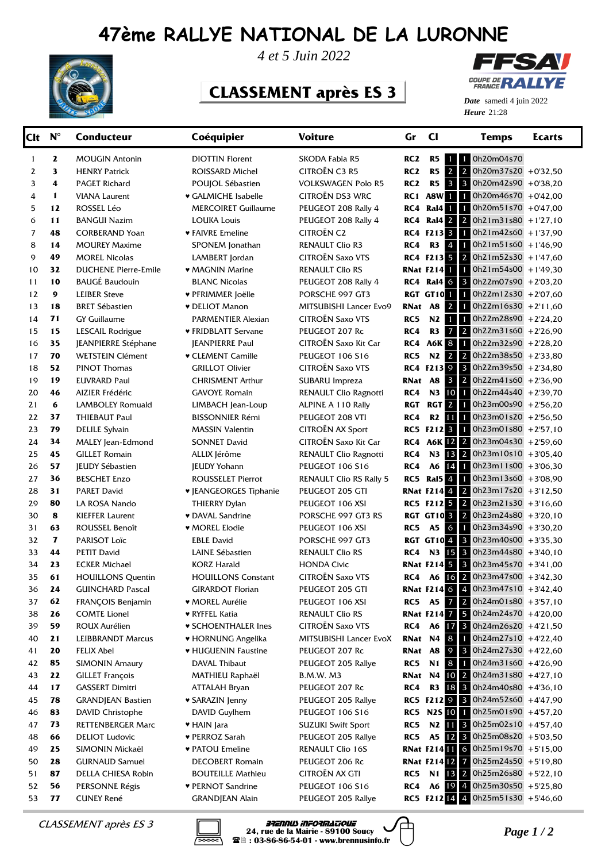## **47ème RALLYE NATIONAL DE LA LURONNE**



*4 et 5 Juin 2022*

## **CLASSEMENT après ES 3**



**Heure** 21:28 *Date* samedi 4 juin 2022

| $\mathbf{z}$<br>RC <sub>2</sub><br>R5<br>0h20m04s70<br><b>DIOTTIN Florent</b><br><b>SKODA Fabia R5</b><br>1<br><b>MOUGIN Antonin</b><br>1 <sub>1</sub><br>1<br>$\mathbf{2}$<br>$\overline{2}$<br>$\overline{\mathbf{3}}$<br>CITROËN C3 R5<br>RC <sub>2</sub><br>R <sub>5</sub><br>2<br><b>HENRY Patrick</b><br>ROISSARD Michel<br>$\overline{\mathbf{3}}$<br>$\overline{3}$<br>4<br>R5<br><b>VOLKSWAGEN Polo R5</b><br>RC <sub>2</sub><br>3<br><b>PAGET Richard</b><br>POUJOL Sébastien<br>CITROËN DS3 WRC<br>RC1 A8W I<br>$\mathbf{1}$<br>4<br><b>VIANA Laurent</b><br>♥ GALMICHE Isabelle<br>RC4 Ral4 1<br>12<br>PEUGEOT 208 Rally 4<br>$\blacksquare$<br>5<br>ROSSEL Léo<br><b>MERCOIRET Guillaume</b><br><b>RC4 Ral4 2 2</b><br>11<br>PEUGEOT 208 Rally 4<br>6<br><b>BANGUI Nazim</b><br><b>LOUKA Louis</b><br>RC4 F213 3 1 0h21m42s60 +1'37,90<br><b>CITROËN C2</b><br>7<br>48<br><b>CORBERAND Yoan</b><br>♥ FAIVRE Emeline<br>R3 4<br>8<br>14<br><b>RENAULT Clio R3</b><br>RC4<br><b>MOUREY Maxime</b><br>SPONEM Jonathan<br>RC4 F213 5 2<br>49<br>CITROËN Saxo VTS<br>9<br><b>MOREL Nicolas</b><br>LAMBERT Jordan<br>32<br><b>RNat F214</b><br><b>DUCHENE Pierre-Emile</b><br><b>RENAULT Clio RS</b><br>10<br>• MAGNIN Marine<br><b>RC4 Ral4 6 3</b><br>10<br><b>BAUGÉ Baudouin</b><br><b>BLANC Nicolas</b><br>PEUGEOT 208 Rally 4<br>11<br>$\boldsymbol{9}$<br><b>RGT GT10 1</b> 0h22m12s30 +2'07,60<br>12<br><b>LEIBER Steve</b><br>♥ PFRIMMER Joëlle<br>PORSCHE 997 GT3 | 0h20m37s20 +0'32,50<br>0h20m42s90 +0'38,20<br>$1$ 0h20m46s70 +0'42,00<br>$0h20m51s70 + 0'47,00$<br>$0h21m31s80 + 1'27,10$<br>$1$ 0h21m51s60 +1'46.90<br>$0h21m52s30 + 1'47,60$<br>$1$ 0h21m54s00 +1'49,30<br>$0h22m07s90 + 2'03,20$ |  |
|-----------------------------------------------------------------------------------------------------------------------------------------------------------------------------------------------------------------------------------------------------------------------------------------------------------------------------------------------------------------------------------------------------------------------------------------------------------------------------------------------------------------------------------------------------------------------------------------------------------------------------------------------------------------------------------------------------------------------------------------------------------------------------------------------------------------------------------------------------------------------------------------------------------------------------------------------------------------------------------------------------------------------------------------------------------------------------------------------------------------------------------------------------------------------------------------------------------------------------------------------------------------------------------------------------------------------------------------------------------------------------------------------------------------------------------------------------------------------------------|-------------------------------------------------------------------------------------------------------------------------------------------------------------------------------------------------------------------------------------|--|
|                                                                                                                                                                                                                                                                                                                                                                                                                                                                                                                                                                                                                                                                                                                                                                                                                                                                                                                                                                                                                                                                                                                                                                                                                                                                                                                                                                                                                                                                                   |                                                                                                                                                                                                                                     |  |
|                                                                                                                                                                                                                                                                                                                                                                                                                                                                                                                                                                                                                                                                                                                                                                                                                                                                                                                                                                                                                                                                                                                                                                                                                                                                                                                                                                                                                                                                                   |                                                                                                                                                                                                                                     |  |
|                                                                                                                                                                                                                                                                                                                                                                                                                                                                                                                                                                                                                                                                                                                                                                                                                                                                                                                                                                                                                                                                                                                                                                                                                                                                                                                                                                                                                                                                                   |                                                                                                                                                                                                                                     |  |
|                                                                                                                                                                                                                                                                                                                                                                                                                                                                                                                                                                                                                                                                                                                                                                                                                                                                                                                                                                                                                                                                                                                                                                                                                                                                                                                                                                                                                                                                                   |                                                                                                                                                                                                                                     |  |
|                                                                                                                                                                                                                                                                                                                                                                                                                                                                                                                                                                                                                                                                                                                                                                                                                                                                                                                                                                                                                                                                                                                                                                                                                                                                                                                                                                                                                                                                                   |                                                                                                                                                                                                                                     |  |
|                                                                                                                                                                                                                                                                                                                                                                                                                                                                                                                                                                                                                                                                                                                                                                                                                                                                                                                                                                                                                                                                                                                                                                                                                                                                                                                                                                                                                                                                                   |                                                                                                                                                                                                                                     |  |
|                                                                                                                                                                                                                                                                                                                                                                                                                                                                                                                                                                                                                                                                                                                                                                                                                                                                                                                                                                                                                                                                                                                                                                                                                                                                                                                                                                                                                                                                                   |                                                                                                                                                                                                                                     |  |
|                                                                                                                                                                                                                                                                                                                                                                                                                                                                                                                                                                                                                                                                                                                                                                                                                                                                                                                                                                                                                                                                                                                                                                                                                                                                                                                                                                                                                                                                                   |                                                                                                                                                                                                                                     |  |
|                                                                                                                                                                                                                                                                                                                                                                                                                                                                                                                                                                                                                                                                                                                                                                                                                                                                                                                                                                                                                                                                                                                                                                                                                                                                                                                                                                                                                                                                                   |                                                                                                                                                                                                                                     |  |
|                                                                                                                                                                                                                                                                                                                                                                                                                                                                                                                                                                                                                                                                                                                                                                                                                                                                                                                                                                                                                                                                                                                                                                                                                                                                                                                                                                                                                                                                                   |                                                                                                                                                                                                                                     |  |
|                                                                                                                                                                                                                                                                                                                                                                                                                                                                                                                                                                                                                                                                                                                                                                                                                                                                                                                                                                                                                                                                                                                                                                                                                                                                                                                                                                                                                                                                                   |                                                                                                                                                                                                                                     |  |
|                                                                                                                                                                                                                                                                                                                                                                                                                                                                                                                                                                                                                                                                                                                                                                                                                                                                                                                                                                                                                                                                                                                                                                                                                                                                                                                                                                                                                                                                                   |                                                                                                                                                                                                                                     |  |
| RNat A8 2<br>18<br>13<br><b>BRET Sébastien</b><br><b>v</b> DELIOT Manon<br>MITSUBISHI Lancer Evo9                                                                                                                                                                                                                                                                                                                                                                                                                                                                                                                                                                                                                                                                                                                                                                                                                                                                                                                                                                                                                                                                                                                                                                                                                                                                                                                                                                                 | $1$ 0h22m16s30 +2'11,60                                                                                                                                                                                                             |  |
| $N2$ 1<br>71<br>CITROËN Saxo VTS<br>RC5<br><b>GY Guillaume</b><br>14<br>PARMENTIER Alexian                                                                                                                                                                                                                                                                                                                                                                                                                                                                                                                                                                                                                                                                                                                                                                                                                                                                                                                                                                                                                                                                                                                                                                                                                                                                                                                                                                                        | $1$ 0h22m28s90 +2'24,20                                                                                                                                                                                                             |  |
| $7\overline{2}$<br>15<br>R3<br>15<br>LESCAIL Rodrigue<br>PEUGEOT 207 Rc<br>RC4<br>♥ FRIDBLATT Servane                                                                                                                                                                                                                                                                                                                                                                                                                                                                                                                                                                                                                                                                                                                                                                                                                                                                                                                                                                                                                                                                                                                                                                                                                                                                                                                                                                             | $0h22m31s60 + 2'26,90$                                                                                                                                                                                                              |  |
| RC4 A6K 8 1 0h22m32s90 +2'28,20<br>35<br>CITROËN Saxo Kit Car<br>16<br>JEANPIERRE Stéphane<br><b>JEANPIERRE Paul</b>                                                                                                                                                                                                                                                                                                                                                                                                                                                                                                                                                                                                                                                                                                                                                                                                                                                                                                                                                                                                                                                                                                                                                                                                                                                                                                                                                              |                                                                                                                                                                                                                                     |  |
| N <sub>2</sub> 2 2<br>70<br><b>WETSTEIN Clément</b><br><b>PEUGEOT 106 S16</b><br>RC5<br>17<br><b>v CLEMENT Camille</b>                                                                                                                                                                                                                                                                                                                                                                                                                                                                                                                                                                                                                                                                                                                                                                                                                                                                                                                                                                                                                                                                                                                                                                                                                                                                                                                                                            | $0h22m38s50 + 2'33,80$                                                                                                                                                                                                              |  |
| RC4 F213 9 3<br>52<br>CITROËN Saxo VTS<br>18<br><b>PINOT Thomas</b><br><b>GRILLOT Olivier</b>                                                                                                                                                                                                                                                                                                                                                                                                                                                                                                                                                                                                                                                                                                                                                                                                                                                                                                                                                                                                                                                                                                                                                                                                                                                                                                                                                                                     | 0h22m39s50 +2'34,80                                                                                                                                                                                                                 |  |
| <b>RNat A8 3 2 0h22m41s60</b> +2'36,90<br>19<br>19<br><b>EUVRARD Paul</b><br><b>CHRISMENT Arthur</b><br>SUBARU Impreza                                                                                                                                                                                                                                                                                                                                                                                                                                                                                                                                                                                                                                                                                                                                                                                                                                                                                                                                                                                                                                                                                                                                                                                                                                                                                                                                                            |                                                                                                                                                                                                                                     |  |
| N3 10 1 0h22m44s40 +2'39,70<br>46<br>RC4<br>20<br>AIZIER Frédéric<br><b>GAVOYE Romain</b><br>RENAULT Clio Ragnotti                                                                                                                                                                                                                                                                                                                                                                                                                                                                                                                                                                                                                                                                                                                                                                                                                                                                                                                                                                                                                                                                                                                                                                                                                                                                                                                                                                |                                                                                                                                                                                                                                     |  |
| 6<br><b>RGT 2</b><br><b>RGT</b><br>21<br><b>LAMBOLEY Romuald</b><br>LIMBACH Jean-Loup<br>ALPINE A 110 Rally                                                                                                                                                                                                                                                                                                                                                                                                                                                                                                                                                                                                                                                                                                                                                                                                                                                                                                                                                                                                                                                                                                                                                                                                                                                                                                                                                                       | 1 0h23m00s90 +2'56,20                                                                                                                                                                                                               |  |
| R2 1 0h23m01s20 +2'56,50<br>22<br>37<br><b>THIEBAUT Paul</b><br>RC4<br><b>BISSONNIER Rémi</b><br>PEUGEOT 208 VTI                                                                                                                                                                                                                                                                                                                                                                                                                                                                                                                                                                                                                                                                                                                                                                                                                                                                                                                                                                                                                                                                                                                                                                                                                                                                                                                                                                  |                                                                                                                                                                                                                                     |  |
| RC5 F212 3 1 Oh23m01s80 +2'57,10<br>79<br>CITROËN AX Sport<br>23<br><b>DELILE Sylvain</b><br><b>MASSIN Valentin</b>                                                                                                                                                                                                                                                                                                                                                                                                                                                                                                                                                                                                                                                                                                                                                                                                                                                                                                                                                                                                                                                                                                                                                                                                                                                                                                                                                               |                                                                                                                                                                                                                                     |  |
| RC4 A6K $\boxed{2}$ 2 0h23m04s30 +2'59,60<br>34<br>CITROËN Saxo Kit Car<br>24<br>MALEY Jean-Edmond<br><b>SONNET David</b>                                                                                                                                                                                                                                                                                                                                                                                                                                                                                                                                                                                                                                                                                                                                                                                                                                                                                                                                                                                                                                                                                                                                                                                                                                                                                                                                                         |                                                                                                                                                                                                                                     |  |
| N3 13 2 0h23m10s10 +3'05,40<br>45<br>25<br>RC4<br><b>GILLET Romain</b><br>ALLIX Jérôme<br>RENAULT Clio Ragnotti                                                                                                                                                                                                                                                                                                                                                                                                                                                                                                                                                                                                                                                                                                                                                                                                                                                                                                                                                                                                                                                                                                                                                                                                                                                                                                                                                                   |                                                                                                                                                                                                                                     |  |
| A6 14<br>57<br>RC4<br>26<br><b>JEUDY Sébastien</b><br><b>JEUDY Yohann</b><br>PEUGEOT 106 S16                                                                                                                                                                                                                                                                                                                                                                                                                                                                                                                                                                                                                                                                                                                                                                                                                                                                                                                                                                                                                                                                                                                                                                                                                                                                                                                                                                                      | 0h23m11s00 +3'06,30                                                                                                                                                                                                                 |  |
| <b>Ral5</b> 4<br>36<br>RC5<br>27<br><b>BESCHET Enzo</b><br>ROUSSELET Pierrot<br><b>RENAULT Clio RS Rally 5</b>                                                                                                                                                                                                                                                                                                                                                                                                                                                                                                                                                                                                                                                                                                                                                                                                                                                                                                                                                                                                                                                                                                                                                                                                                                                                                                                                                                    | $1$ 0h23m13s60 +3'08,90                                                                                                                                                                                                             |  |
| <b>RNat F214 4 2 0h23m17s20 +3'12,50</b><br>28<br>31<br><b>PARET David</b><br><b>V JEANGEORGES Tiphanie</b><br>PEUGEOT 205 GTI                                                                                                                                                                                                                                                                                                                                                                                                                                                                                                                                                                                                                                                                                                                                                                                                                                                                                                                                                                                                                                                                                                                                                                                                                                                                                                                                                    |                                                                                                                                                                                                                                     |  |
| RC5 F212 5 2 0h23m21s30 +3'16,60<br>80<br>29<br>LA ROSA Nando<br>THIERRY Dylan<br>PEUGEOT 106 XSI                                                                                                                                                                                                                                                                                                                                                                                                                                                                                                                                                                                                                                                                                                                                                                                                                                                                                                                                                                                                                                                                                                                                                                                                                                                                                                                                                                                 |                                                                                                                                                                                                                                     |  |
| <b>RGT GT10 3 2</b> 0h23m24s80 +3'20,10<br>8<br>30<br><b>KIEFFER Laurent</b><br>• DAVAL Sandrine<br>PORSCHE 997 GT3 RS                                                                                                                                                                                                                                                                                                                                                                                                                                                                                                                                                                                                                                                                                                                                                                                                                                                                                                                                                                                                                                                                                                                                                                                                                                                                                                                                                            |                                                                                                                                                                                                                                     |  |
| A5 6<br>63<br>ROUSSEL Benoît<br>RC5<br>31<br><b>* MOREL Elodie</b><br>PEUGEOT 106 XSI                                                                                                                                                                                                                                                                                                                                                                                                                                                                                                                                                                                                                                                                                                                                                                                                                                                                                                                                                                                                                                                                                                                                                                                                                                                                                                                                                                                             | $1$ 0h23m34s90 +3'30,20                                                                                                                                                                                                             |  |
| <b>RGT GT10 4 3</b><br>$\mathbf{7}$<br>PARISOT Loïc<br>32<br><b>EBLE David</b><br>PORSCHE 997 GT3                                                                                                                                                                                                                                                                                                                                                                                                                                                                                                                                                                                                                                                                                                                                                                                                                                                                                                                                                                                                                                                                                                                                                                                                                                                                                                                                                                                 | $0h23m40s00 + 3'35.30$                                                                                                                                                                                                              |  |
| N3 15 3<br>44<br>33<br><b>PETIT David</b><br>LAINE Sébastien<br><b>RENAULT Clio RS</b><br>RC4                                                                                                                                                                                                                                                                                                                                                                                                                                                                                                                                                                                                                                                                                                                                                                                                                                                                                                                                                                                                                                                                                                                                                                                                                                                                                                                                                                                     | $0h23m44s80 + 3'40,10$                                                                                                                                                                                                              |  |
| <b>RNat F214 5 3 0h23m45s70</b> +3'41,00<br>23<br><b>HONDA Civic</b><br>34<br><b>ECKER Michael</b><br><b>KORZ Harald</b>                                                                                                                                                                                                                                                                                                                                                                                                                                                                                                                                                                                                                                                                                                                                                                                                                                                                                                                                                                                                                                                                                                                                                                                                                                                                                                                                                          |                                                                                                                                                                                                                                     |  |
| CITROËN Saxo VTS<br>A6 16 2 0h23m47s00 +3'42,30<br>35<br>61<br>RC4<br><b>HOUILLONS Quentin</b><br><b>HOUILLONS Constant</b>                                                                                                                                                                                                                                                                                                                                                                                                                                                                                                                                                                                                                                                                                                                                                                                                                                                                                                                                                                                                                                                                                                                                                                                                                                                                                                                                                       |                                                                                                                                                                                                                                     |  |
| <b>RNat F214 6</b> 4 0h23m47s10 +3'42,40<br>24<br><b>GUINCHARD Pascal</b><br><b>GIRARDOT Florian</b><br>36<br>PEUGEOT 205 GTI                                                                                                                                                                                                                                                                                                                                                                                                                                                                                                                                                                                                                                                                                                                                                                                                                                                                                                                                                                                                                                                                                                                                                                                                                                                                                                                                                     |                                                                                                                                                                                                                                     |  |
| RC5 A5 7 2 0h24m01s80 +3'57,10<br>62<br><b>* MOREL Aurélie</b><br>PEUGEOT 106 XSI<br>37<br>FRANÇOIS Benjamin                                                                                                                                                                                                                                                                                                                                                                                                                                                                                                                                                                                                                                                                                                                                                                                                                                                                                                                                                                                                                                                                                                                                                                                                                                                                                                                                                                      |                                                                                                                                                                                                                                     |  |
| <b>RNat F214 7 5 0h24m24s70</b> +4'20,00<br>26<br><b>COMTE Lionel</b><br><b>RENAULT Clio RS</b><br>38<br><b>v RYFFEL Katia</b>                                                                                                                                                                                                                                                                                                                                                                                                                                                                                                                                                                                                                                                                                                                                                                                                                                                                                                                                                                                                                                                                                                                                                                                                                                                                                                                                                    |                                                                                                                                                                                                                                     |  |
| RC4 A6 $17$ 3 Oh24m26s20 +4'21,50<br>59<br><b>CITROËN Saxo VTS</b><br>ROUX Aurélien<br>39<br><b>v SCHOENTHALER Ines</b>                                                                                                                                                                                                                                                                                                                                                                                                                                                                                                                                                                                                                                                                                                                                                                                                                                                                                                                                                                                                                                                                                                                                                                                                                                                                                                                                                           |                                                                                                                                                                                                                                     |  |
| 21<br>RNat N4 8<br>MITSUBISHI Lancer EvoX<br><b>LEIBBRANDT Marcus</b><br>♥ HORNUNG Angelika<br>40                                                                                                                                                                                                                                                                                                                                                                                                                                                                                                                                                                                                                                                                                                                                                                                                                                                                                                                                                                                                                                                                                                                                                                                                                                                                                                                                                                                 | 1 0h24m27s10 +4'22.40                                                                                                                                                                                                               |  |
| 20<br>PEUGEOT 207 Rc<br>RNat A8 9<br><b>FELIX Abel</b><br><b>* HUGUENIN Faustine</b><br>41<br>85<br>N <sub>1</sub> 8                                                                                                                                                                                                                                                                                                                                                                                                                                                                                                                                                                                                                                                                                                                                                                                                                                                                                                                                                                                                                                                                                                                                                                                                                                                                                                                                                              | 3 0h24m27s30 +4'22,60<br>1 0h24m31s60 +4'26.90                                                                                                                                                                                      |  |
| RC5<br>42<br><b>SIMONIN Amaury</b><br>DAVAL Thibaut<br>PEUGEOT 205 Rallye<br>22<br><b>RNat N4 10 2</b> $0h24m31s80 + 4'27,10$<br>MATHIEU Raphaël                                                                                                                                                                                                                                                                                                                                                                                                                                                                                                                                                                                                                                                                                                                                                                                                                                                                                                                                                                                                                                                                                                                                                                                                                                                                                                                                  |                                                                                                                                                                                                                                     |  |
| 43<br><b>GILLET François</b><br><b>B.M.W. M3</b><br>17<br><b>GASSERT Dimitri</b>                                                                                                                                                                                                                                                                                                                                                                                                                                                                                                                                                                                                                                                                                                                                                                                                                                                                                                                                                                                                                                                                                                                                                                                                                                                                                                                                                                                                  |                                                                                                                                                                                                                                     |  |
| R3 18 3 0h24m40s80 +4'36,10<br>RC4<br>ATTALAH Bryan<br>PEUGEOT 207 Rc<br>44<br>78<br>RC5 F212 9 3 0h24m52s60 +4'47,90<br>45<br><b>GRANDJEAN Bastien</b><br>♥ SARAZIN Jenny<br>PEUGEOT 205 Rallye                                                                                                                                                                                                                                                                                                                                                                                                                                                                                                                                                                                                                                                                                                                                                                                                                                                                                                                                                                                                                                                                                                                                                                                                                                                                                  |                                                                                                                                                                                                                                     |  |
| 83<br>RC5 N2S 10 1 0h25m01s90 +4'57,20<br>DAVID Christophe<br>DAVID Guylhem<br><b>PEUGEOT 106 S16</b><br>46                                                                                                                                                                                                                                                                                                                                                                                                                                                                                                                                                                                                                                                                                                                                                                                                                                                                                                                                                                                                                                                                                                                                                                                                                                                                                                                                                                       |                                                                                                                                                                                                                                     |  |
| 73<br>N2 11 3 0h25m02s10 +4'57,40<br>RC5<br><b>RETTENBERGER Marc</b><br>♥ HAIN Jara<br><b>SUZUKI Swift Sport</b><br>47                                                                                                                                                                                                                                                                                                                                                                                                                                                                                                                                                                                                                                                                                                                                                                                                                                                                                                                                                                                                                                                                                                                                                                                                                                                                                                                                                            |                                                                                                                                                                                                                                     |  |
| 66<br>A5 12 3 0h25m08s20 +5'03,50<br>PEUGEOT 205 Rallye<br>RC5<br>48<br><b>DELIOT Ludovic</b><br>♥ PERROZ Sarah                                                                                                                                                                                                                                                                                                                                                                                                                                                                                                                                                                                                                                                                                                                                                                                                                                                                                                                                                                                                                                                                                                                                                                                                                                                                                                                                                                   |                                                                                                                                                                                                                                     |  |
| 25<br><b>RNat F21411 6 0h25m19s70</b> +5'15,00<br>RENAULT Clio 16S<br>SIMONIN Mickaël<br>♥ PATOU Emeline<br>49                                                                                                                                                                                                                                                                                                                                                                                                                                                                                                                                                                                                                                                                                                                                                                                                                                                                                                                                                                                                                                                                                                                                                                                                                                                                                                                                                                    |                                                                                                                                                                                                                                     |  |
| 28<br><b>RNat F21412 7 0h25m24s50 +5'19,80</b><br><b>GURNAUD Samuel</b><br><b>DECOBERT Romain</b><br>PEUGEOT 206 Rc<br>50                                                                                                                                                                                                                                                                                                                                                                                                                                                                                                                                                                                                                                                                                                                                                                                                                                                                                                                                                                                                                                                                                                                                                                                                                                                                                                                                                         |                                                                                                                                                                                                                                     |  |
| 87<br>CITROËN AX GTI<br>RC5 N1 13 2 0h25m26s80 +5'22,10<br>DELLA CHIESA Robin<br>BOUTEILLE Mathieu<br>51                                                                                                                                                                                                                                                                                                                                                                                                                                                                                                                                                                                                                                                                                                                                                                                                                                                                                                                                                                                                                                                                                                                                                                                                                                                                                                                                                                          |                                                                                                                                                                                                                                     |  |
| A6 $19$ 4 0h25m30s50 +5'25,80<br>56<br><b>PEUGEOT 106 S16</b><br>52<br>PERSONNE Régis<br>♥ PERNOT Sandrine<br>RC4                                                                                                                                                                                                                                                                                                                                                                                                                                                                                                                                                                                                                                                                                                                                                                                                                                                                                                                                                                                                                                                                                                                                                                                                                                                                                                                                                                 |                                                                                                                                                                                                                                     |  |
| RC5 F212 14 4 0h25m51s30 +5'46,60<br>53<br>77<br><b>CUNEY René</b><br>PEUGEOT 205 Rallye<br><b>GRANDJEAN Alain</b>                                                                                                                                                                                                                                                                                                                                                                                                                                                                                                                                                                                                                                                                                                                                                                                                                                                                                                                                                                                                                                                                                                                                                                                                                                                                                                                                                                |                                                                                                                                                                                                                                     |  |